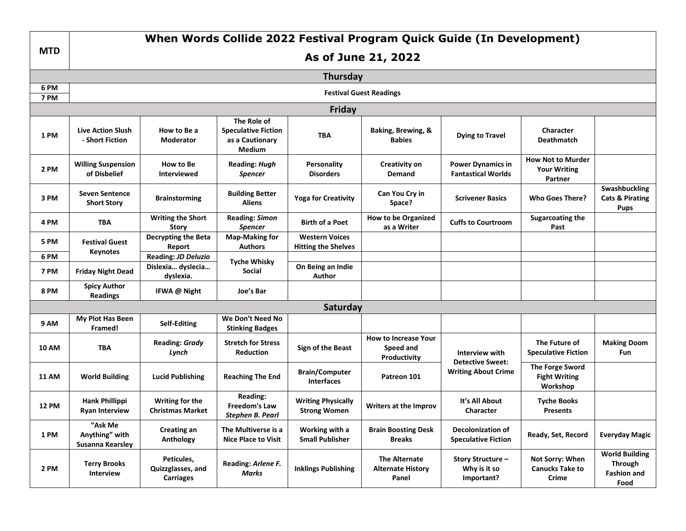|              | When Words Collide 2022 Festival Program Quick Guide (In Development) |                                                       |                                                                        |                                                     |                                                          |                                                                         |                                                            |                                                                       |  |  |  |  |  |  |
|--------------|-----------------------------------------------------------------------|-------------------------------------------------------|------------------------------------------------------------------------|-----------------------------------------------------|----------------------------------------------------------|-------------------------------------------------------------------------|------------------------------------------------------------|-----------------------------------------------------------------------|--|--|--|--|--|--|
| <b>MTD</b>   | As of June 21, 2022                                                   |                                                       |                                                                        |                                                     |                                                          |                                                                         |                                                            |                                                                       |  |  |  |  |  |  |
|              | <b>Thursday</b>                                                       |                                                       |                                                                        |                                                     |                                                          |                                                                         |                                                            |                                                                       |  |  |  |  |  |  |
| 6 PM         | <b>Festival Guest Readings</b>                                        |                                                       |                                                                        |                                                     |                                                          |                                                                         |                                                            |                                                                       |  |  |  |  |  |  |
| 7 PM         | Friday                                                                |                                                       |                                                                        |                                                     |                                                          |                                                                         |                                                            |                                                                       |  |  |  |  |  |  |
| 1 PM         | <b>Live Action Slush</b><br>- Short Fiction                           | How to Be a<br>Moderator                              | The Role of<br><b>Speculative Fiction</b><br>as a Cautionary<br>Medium | TBA                                                 | Baking, Brewing, &<br><b>Babies</b>                      | <b>Dying to Travel</b>                                                  | <b>Character</b><br><b>Deathmatch</b>                      |                                                                       |  |  |  |  |  |  |
| 2 PM         | <b>Willing Suspension</b><br>of Disbelief                             | How to Be<br>Interviewed                              | <b>Reading: Hugh</b><br>Spencer                                        | <b>Personality</b><br><b>Disorders</b>              | <b>Creativity on</b><br>Demand                           | <b>Power Dynamics in</b><br><b>Fantastical Worlds</b>                   | <b>How Not to Murder</b><br><b>Your Writing</b><br>Partner |                                                                       |  |  |  |  |  |  |
| 3 PM         | <b>Seven Sentence</b><br><b>Short Story</b>                           | <b>Brainstorming</b>                                  | <b>Building Better</b><br>Aliens                                       | <b>Yoga for Creativity</b>                          | Can You Cry in<br>Space?                                 | <b>Scrivener Basics</b>                                                 | <b>Who Goes There?</b>                                     | Swashbuckling<br><b>Cats &amp; Pirating</b><br><b>Pups</b>            |  |  |  |  |  |  |
| 4 PM         | <b>TBA</b>                                                            | <b>Writing the Short</b><br><b>Story</b>              | <b>Reading: Simon</b><br>Spencer                                       | <b>Birth of a Poet</b>                              | <b>How to be Organized</b><br>as a Writer                | <b>Cuffs to Courtroom</b>                                               | <b>Sugarcoating the</b><br>Past                            |                                                                       |  |  |  |  |  |  |
| <b>5 PM</b>  | <b>Festival Guest</b><br><b>Keynotes</b>                              | <b>Decrypting the Beta</b><br>Report                  | <b>Map-Making for</b><br><b>Authors</b>                                | <b>Western Voices</b><br><b>Hitting the Shelves</b> |                                                          |                                                                         |                                                            |                                                                       |  |  |  |  |  |  |
| 6 PM<br>7 PM | <b>Friday Night Dead</b>                                              | Reading: JD Deluzio<br>Dislexia dyslecia<br>dyslexia. | <b>Tyche Whisky</b><br>Social                                          | On Being an Indie<br><b>Author</b>                  |                                                          |                                                                         |                                                            |                                                                       |  |  |  |  |  |  |
| <b>8 PM</b>  | <b>Spicy Author</b><br><b>Readings</b>                                | IFWA @ Night                                          | Joe's Bar                                                              |                                                     |                                                          |                                                                         |                                                            |                                                                       |  |  |  |  |  |  |
|              |                                                                       |                                                       |                                                                        | Saturday                                            |                                                          |                                                                         |                                                            |                                                                       |  |  |  |  |  |  |
| 9 AM         | My Plot Has Been<br>Framed!                                           | Self-Editing                                          | We Don't Need No<br><b>Stinking Badges</b>                             |                                                     |                                                          |                                                                         |                                                            |                                                                       |  |  |  |  |  |  |
| <b>10 AM</b> | <b>TBA</b>                                                            | <b>Reading: Grady</b><br>Lynch                        | <b>Stretch for Stress</b><br>Reduction                                 | Sign of the Beast                                   | <b>How to Increase Your</b><br>Speed and<br>Productivity | Interview with<br><b>Detective Sweet:</b><br><b>Writing About Crime</b> | The Future of<br><b>Speculative Fiction</b>                | <b>Making Doom</b><br>Fun                                             |  |  |  |  |  |  |
| <b>11 AM</b> | <b>World Building</b>                                                 | <b>Lucid Publishing</b>                               | <b>Reaching The End</b>                                                | <b>Brain/Computer</b><br><b>Interfaces</b>          | Patreon 101                                              |                                                                         | The Forge Sword<br><b>Fight Writing</b><br>Workshop        |                                                                       |  |  |  |  |  |  |
| <b>12 PM</b> | Hank Phillippi<br><b>Ryan Interview</b>                               | Writing for the<br><b>Christmas Market</b>            | Reading:<br><b>Freedom's Law</b><br>Stephen B. Pearl                   | <b>Writing Physically</b><br><b>Strong Women</b>    | Writers at the Improv                                    | It's All About<br>Character                                             | <b>Tyche Books</b><br>Presents                             |                                                                       |  |  |  |  |  |  |
| 1 PM         | <b>"Ask Me</b><br>Anything" with<br>Susanna Kearsley                  | <b>Creating an</b><br>Anthology                       | The Multiverse is a<br><b>Nice Place to Visit</b>                      | Working with a<br><b>Small Publisher</b>            | <b>Brain Boosting Desk</b><br><b>Breaks</b>              | <b>Decolonization of</b><br><b>Speculative Fiction</b>                  | Ready, Set, Record                                         | <b>Everyday Magic</b>                                                 |  |  |  |  |  |  |
| 2 PM         | <b>Terry Brooks</b><br>Interview                                      | Peticules,<br>Quizzglasses, and<br><b>Carriages</b>   | Reading: Arlene F.<br>Marks                                            | <b>Inklings Publishing</b>                          | The Alternate<br><b>Alternate History</b><br>Panel       | Story Structure -<br>Why is it so<br>Important?                         | Not Sorry: When<br><b>Canucks Take to</b><br>Crime         | <b>World Building</b><br><b>Through</b><br><b>Fashion and</b><br>Food |  |  |  |  |  |  |